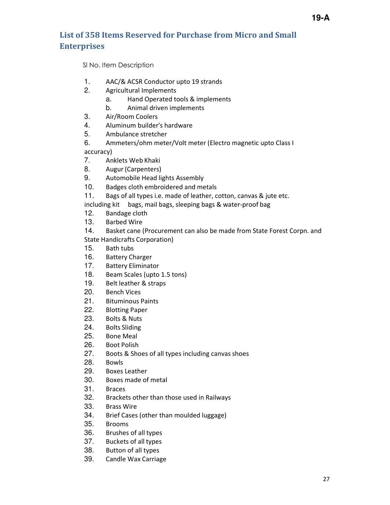## **List of 358 Items Reserved for Purchase from Micro and Small Enterprises**

Sl No. Item Description

- 1. AAC/& ACSR Conductor upto 19 strands
- 2. Agricultural Implements
	- a. Hand Operated tools & implements
	- b. Animal driven implements
- 3. Air/Room Coolers
- 4. Aluminum builder's hardware
- 5. Ambulance stretcher
- 6. Ammeters/ohm meter/Volt meter (Electro magnetic upto Class I accuracy)
- 7. Anklets Web Khaki
- 8. Augur (Carpenters)
- 9. Automobile Head lights Assembly
- 10. Badges cloth embroidered and metals
- 11. Bags of all types i.e. made of leather, cotton, canvas & jute etc.

including kit bags, mail bags, sleeping bags & water-proof bag

- 12. Bandage cloth
- 13. Barbed Wire
- 14. Basket cane (Procurement can also be made from State Forest Corpn. and
- State Handicrafts Corporation)
- 15. Bath tubs
- 16. Battery Charger
- 17. Battery Eliminator
- 18. Beam Scales (upto 1.5 tons)
- 19. Belt leather & straps
- 20. Bench Vices
- 21. Bituminous Paints
- 22. Blotting Paper
- 23. Bolts & Nuts
- 24. Bolts Sliding
- 25. Bone Meal
- 26. Boot Polish
- 27. Boots & Shoes of all types including canvas shoes
- 28. Bowls
- 29. Boxes Leather
- 30. Boxes made of metal
- 31. Braces
- 32. Brackets other than those used in Railways
- 33. Brass Wire
- 34. Brief Cases (other than moulded luggage)
- 35. Brooms
- 36. Brushes of all types
- 37. Buckets of all types
- 38. Button of all types
- 39. Candle Wax Carriage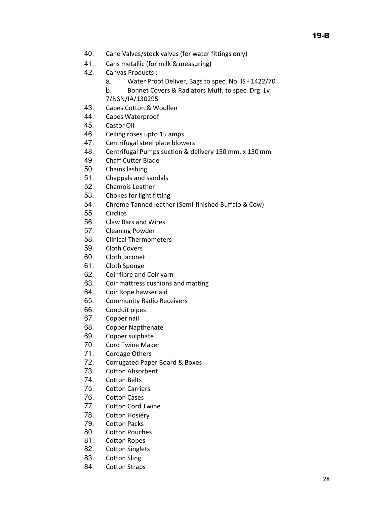19-B

- 40. Cane Valves/stock valves (for water fittings only)
- 41. Cans metallic (for milk & measuring)
- 42. Canvas Products :
	- a. Water Proof Deliver, Bags to spec. No. IS 1422/70
	- b. Bonnet Covers & Radiators Muff. to spec. Drg. Lv 7/NSN/IA/130295
- 43. Capes Cotton & Woollen
- 44. Capes Waterproof
- 45. Castor Oil
- 46. Ceiling roses upto 15 amps
- 47. Centrifugal steel plate blowers
- 48. Centrifugal Pumps suction & delivery 150 mm. x 150 mm
- 49. Chaff Cutter Blade
- 50. Chains lashing
- 51. Chappals and sandals
- 52. Chamois Leather
- 53. Chokes for light fitting
- 54. Chrome Tanned leather (Semi-finished Buffalo & Cow)
- 55. Circlips
- 56. Claw Bars and Wires
- 57. Cleaning Powder
- 58. Clinical Thermometers
- 59. Cloth Covers
- 60. Cloth Jaconet
- 61. Cloth Sponge
- 62. Coir fibre and Coir yarn
- 63. Coir mattress cushions and matting
- 64. Coir Rope hawserlaid
- 65. Community Radio Receivers
- 66. Conduit pipes
- 67. Copper nail
- 68. Copper Napthenate
- 69. Copper sulphate
- 70. Cord Twine Maker
- 71. Cordage Others
- 72. Corrugated Paper Board & Boxes
- 73. Cotton Absorbent
- 74. Cotton Belts
- 75. Cotton Carriers
- 76. Cotton Cases
- 77. Cotton Cord Twine
- 78. Cotton Hosiery
- 79. Cotton Packs
- 80. Cotton Pouches
- 81. Cotton Ropes
- 82. Cotton Singlets
- 83. Cotton Sling
- 84. Cotton Straps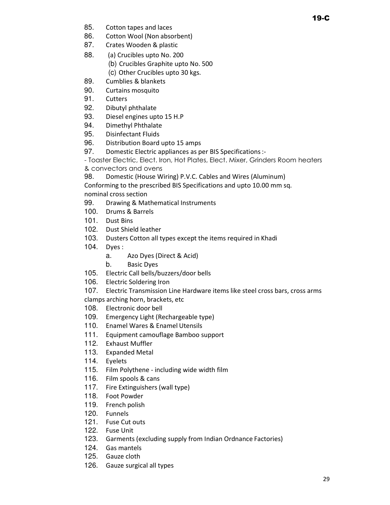- 85. Cotton tapes and laces
- 86. Cotton Wool (Non absorbent)
- 87. Crates Wooden & plastic
- 88. (a) Crucibles upto No. 200
	- (b) Crucibles Graphite upto No. 500
	- (c) Other Crucibles upto 30 kgs.
- 89. Cumblies & blankets
- 90. Curtains mosquito
- 91. Cutters
- 92. Dibutyl phthalate
- 93. Diesel engines upto 15 H.P
- 94. Dimethyl Phthalate
- 95. Disinfectant Fluids
- 96. Distribution Board upto 15 amps
- 97. Domestic Electric appliances as per BIS Specifications :-

- Toaster Electric, Elect. Iron, Hot Plates, Elect. Mixer, Grinders Room heaters & convectors and ovens

98. Domestic (House Wiring) P.V.C. Cables and Wires (Aluminum)

Conforming to the prescribed BIS Specifications and upto 10.00 mm sq. nominal cross section

- 99. Drawing & Mathematical Instruments
- 100. Drums & Barrels
- 101. Dust Bins
- 102. Dust Shield leather
- 103. Dusters Cotton all types except the items required in Khadi
- 104. Dyes :
	- a. Azo Dyes (Direct & Acid)
	- b. Basic Dyes
- 105. Electric Call bells/buzzers/door bells
- 106. Electric Soldering Iron
- 107. Electric Transmission Line Hardware items like steel cross bars, cross arms

clamps arching horn, brackets, etc

- 108. Electronic door bell
- 109. Emergency Light (Rechargeable type)
- 110. Enamel Wares & Enamel Utensils
- 111. Equipment camouflage Bamboo support
- 112. Exhaust Muffler
- 113. Expanded Metal
- 114. Eyelets
- 115. Film Polythene including wide width film
- 116. Film spools & cans
- 117. Fire Extinguishers (wall type)
- 118. Foot Powder
- 119. French polish
- 120. Funnels
- 121. Fuse Cut outs
- 122. Fuse Unit
- 123. Garments (excluding supply from Indian Ordnance Factories)
- 124. Gas mantels
- 125. Gauze cloth
- 126. Gauze surgical all types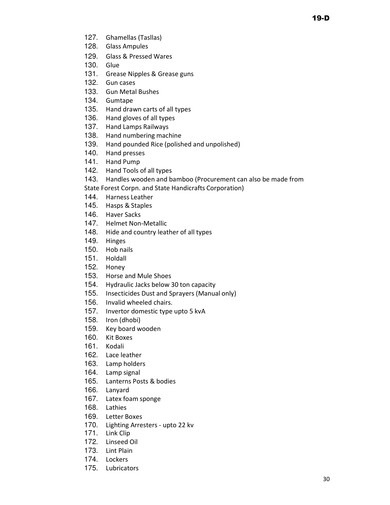- 127. Ghamellas (Tasllas)
- 128. Glass Ampules
- 129. Glass & Pressed Wares
- 130. Glue
- 131. Grease Nipples & Grease guns
- 132. Gun cases
- 133. Gun Metal Bushes
- 134. Gumtape
- 135. Hand drawn carts of all types
- 136. Hand gloves of all types
- 137. Hand Lamps Railways
- 138. Hand numbering machine
- 139. Hand pounded Rice (polished and unpolished)
- 140. Hand presses
- 141. Hand Pump
- 142. Hand Tools of all types
- 143. Handles wooden and bamboo (Procurement can also be made from
- State Forest Corpn. and State Handicrafts Corporation)
- 144. Harness Leather
- 145. Hasps & Staples
- 146. Haver Sacks
- 147. Helmet Non-Metallic
- 148. Hide and country leather of all types
- 149. Hinges
- 150. Hob nails
- 151. Holdall
- 152. Honey
- 153. Horse and Mule Shoes
- 154. Hydraulic Jacks below 30 ton capacity
- 155. Insecticides Dust and Sprayers (Manual only)
- 156. Invalid wheeled chairs.
- 157. Invertor domestic type upto 5 kvA
- 158. Iron (dhobi)
- 159. Key board wooden
- 160. Kit Boxes
- 161. Kodali
- 162. Lace leather
- 163. Lamp holders
- 164. Lamp signal
- 165. Lanterns Posts & bodies
- 166. Lanyard
- 167. Latex foam sponge
- 168. Lathies
- 169. Letter Boxes
- 170. Lighting Arresters upto 22 kv
- 171. Link Clip
- 172. Linseed Oil
- 173. Lint Plain
- 174. Lockers
- 175. Lubricators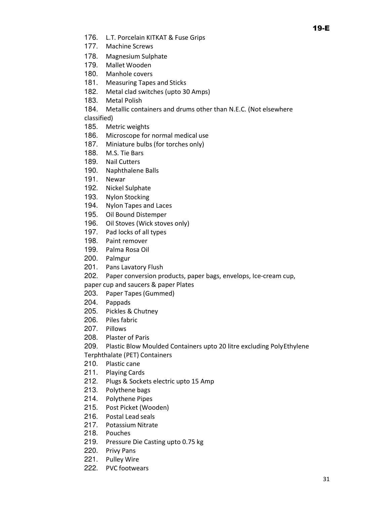- 176. L.T. Porcelain KITKAT & Fuse Grips
- 177. Machine Screws
- 178. Magnesium Sulphate
- 179. Mallet Wooden
- 180. Manhole covers
- 181. Measuring Tapes and Sticks
- 182. Metal clad switches (upto 30 Amps)
- 183. Metal Polish
- 184. Metallic containers and drums other than N.E.C. (Not elsewhere

classified)

- 185. Metric weights
- 186. Microscope for normal medical use
- 187. Miniature bulbs (for torches only)
- 188. M.S. Tie Bars
- 189. Nail Cutters
- 190. Naphthalene Balls
- 191. Newar
- 192. Nickel Sulphate
- 193. Nylon Stocking
- 194. Nylon Tapes and Laces
- 195. Oil Bound Distemper
- 196. Oil Stoves (Wick stoves only)
- 197. Pad locks of all types
- 198. Paint remover
- 199. Palma Rosa Oil
- 200. Palmgur
- 201. Pans Lavatory Flush
- 202. Paper conversion products, paper bags, envelops, Ice-cream cup,

paper cup and saucers & paper Plates

- 203. Paper Tapes (Gummed)
- 204. Pappads
- 205. Pickles & Chutney
- 206. Piles fabric
- 207. Pillows
- 208. Plaster of Paris
- 209. Plastic Blow Moulded Containers upto 20 litre excluding Poly Ethylene
- Terphthalate (PET) Containers
- 210. Plastic cane
- 211. Playing Cards
- 212. Plugs & Sockets electric upto 15 Amp
- 213. Polythene bags
- 214. Polythene Pipes
- 215. Post Picket (Wooden)
- 216. Postal Lead seals
- 217. Potassium Nitrate
- 218. Pouches
- 219. Pressure Die Casting upto 0.75 kg
- 220. Privy Pans
- 221. Pulley Wire
- 222. PVC footwears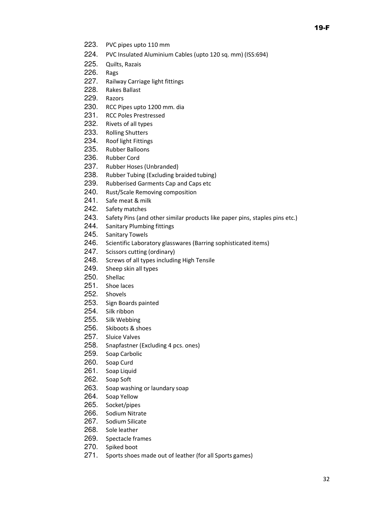- 223. PVC pipes upto 110 mm
- 224. PVC Insulated Aluminium Cables (upto 120 sq. mm) (ISS:694)
- 225. Quilts, Razais
- 226. Rags
- 227. Railway Carriage light fittings
- 228. Rakes Ballast
- 229. Razors
- 230. RCC Pipes upto 1200 mm. dia
- 231. RCC Poles Prestressed
- 232. Rivets of all types
- 233. Rolling Shutters
- 234. Roof light Fittings
- 235. Rubber Balloons
- 236. Rubber Cord
- 237. Rubber Hoses (Unbranded)
- 238. Rubber Tubing (Excluding braided tubing)
- 239. Rubberised Garments Cap and Caps etc
- 240. Rust/Scale Removing composition
- 241. Safe meat & milk
- 242. Safety matches
- 243. Safety Pins (and other similar products like paper pins, staples pins etc.)
- 244. Sanitary Plumbing fittings
- 245. Sanitary Towels
- 246. Scientific Laboratory glasswares (Barring sophisticated items)
- 247. Scissors cutting (ordinary)
- 248. Screws of all types including High Tensile
- 249. Sheep skin all types
- 250. Shellac
- 251. Shoe laces
- 252. Shovels
- 253. Sign Boards painted
- 254. Silk ribbon
- 255. Silk Webbing
- 256. Skiboots & shoes
- 257. Sluice Valves
- 258. Snapfastner (Excluding 4 pcs. ones)
- 259. Soap Carbolic
- 260. Soap Curd
- 261. Soap Liquid
- 262. Soap Soft
- 263. Soap washing or laundary soap
- 264. Soap Yellow
- 265. Socket/pipes
- 266. Sodium Nitrate
- 267. Sodium Silicate
- 268. Sole leather
- 269. Spectacle frames
- 270. Spiked boot
- 271. Sports shoes made out of leather (for all Sports games)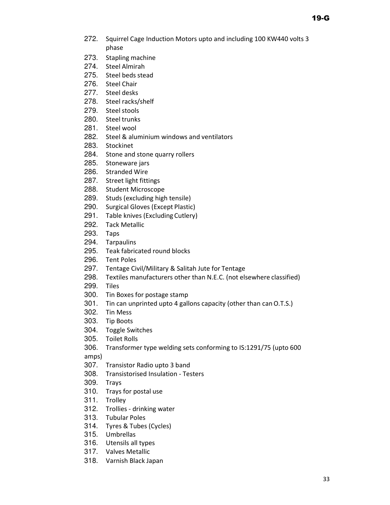- 272. Squirrel Cage Induction Motors upto and including 100 KW440 volts 3 phase
- 273. Stapling machine
- 274. Steel Almirah
- 275. Steel beds stead
- 276. Steel Chair
- 277. Steel desks
- 278. Steel racks/shelf
- 279. Steel stools
- 280. Steel trunks
- 281. Steel wool
- 282. Steel & aluminium windows and ventilators
- 283. Stockinet
- 284. Stone and stone quarry rollers
- 285. Stoneware jars
- 286. Stranded Wire
- 287. Street light fittings
- 288. Student Microscope
- 289. Studs (excluding high tensile)
- 290. Surgical Gloves (Except Plastic)
- 291. Table knives (Excluding Cutlery)
- 292. Tack Metallic
- 293. Taps
- 294. Tarpaulins
- 295. Teak fabricated round blocks
- 296. Tent Poles
- 297. Tentage Civil/Military & Salitah Jute for Tentage
- 298. Textiles manufacturers other than N.E.C. (not elsewhere classified)
- 299. Tiles
- 300. Tin Boxes for postage stamp
- 301. Tin can unprinted upto 4 gallons capacity (other than can O.T.S.)
- 302. Tin Mess
- 303. Tip Boots
- 304. Toggle Switches
- 305. Toilet Rolls
- 306. Transformer type welding sets conforming to IS:1291/75 (upto 600 amps)
- 307. Transistor Radio upto 3 band
- 308. Transistorised Insulation Testers
- 309. Trays
- 310. Trays for postal use
- 311. Trolley
- 312. Trollies drinking water
- 313. Tubular Poles
- 314. Tyres & Tubes (Cycles)
- 315. Umbrellas
- 316. Utensils all types
- 317. Valves Metallic
- 318. Varnish Black Japan